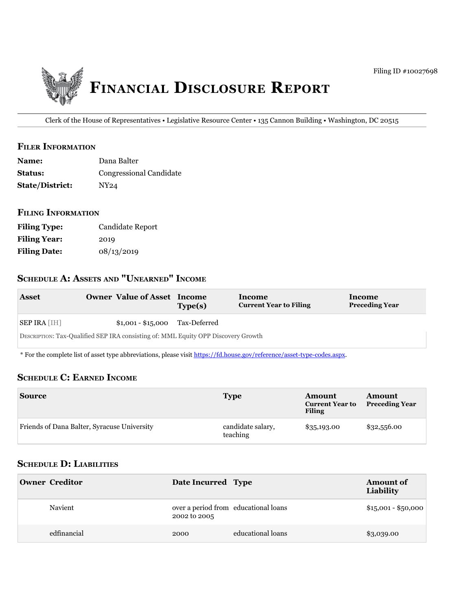

Clerk of the House of Representatives • Legislative Resource Center • 135 Cannon Building • Washington, DC 20515

#### **filer information**

| <b>Name:</b>           | Dana Balter             |
|------------------------|-------------------------|
| <b>Status:</b>         | Congressional Candidate |
| <b>State/District:</b> | NY24                    |

# **filing information**

| <b>Filing Type:</b> | Candidate Report |
|---------------------|------------------|
| <b>Filing Year:</b> | 2019             |
| <b>Filing Date:</b> | 08/13/2019       |

# **ScheDule a: aSSetS anD "unearneD" income**

| <b>Asset</b>                       | <b>Owner Value of Asset Income</b>                                                | Type(s)      | Income<br><b>Current Year to Filing</b> | Income<br><b>Preceding Year</b> |
|------------------------------------|-----------------------------------------------------------------------------------|--------------|-----------------------------------------|---------------------------------|
| $\vert$ SEP IRA $\vert$ IH $\vert$ | $$1,001 - $15,000$                                                                | Tax-Deferred |                                         |                                 |
|                                    | DESCRIPTION: Tax-Qualified SEP IRA consisting of: MML Equity OPP Discovery Growth |              |                                         |                                 |

\* For the complete list of asset type abbreviations, please visit<https://fd.house.gov/reference/asset-type-codes.aspx>.

### **ScheDule c: earneD income**

| <b>Source</b>                               | <b>Type</b>                   | Amount<br><b>Current Year to</b><br><b>Filing</b> | Amount<br><b>Preceding Year</b> |
|---------------------------------------------|-------------------------------|---------------------------------------------------|---------------------------------|
| Friends of Dana Balter, Syracuse University | candidate salary,<br>teaching | \$35,193.00                                       | \$32,556.00                     |

# **ScheDule D: liabilitieS**

| <b>Owner Creditor</b> | Date Incurred Type                                   |                   | <b>Amount of</b><br>Liability |
|-----------------------|------------------------------------------------------|-------------------|-------------------------------|
| Navient               | over a period from educational loans<br>2002 to 2005 |                   | $$15,001 - $50,000$           |
| edfinancial           | 2000                                                 | educational loans | \$3,039.00                    |